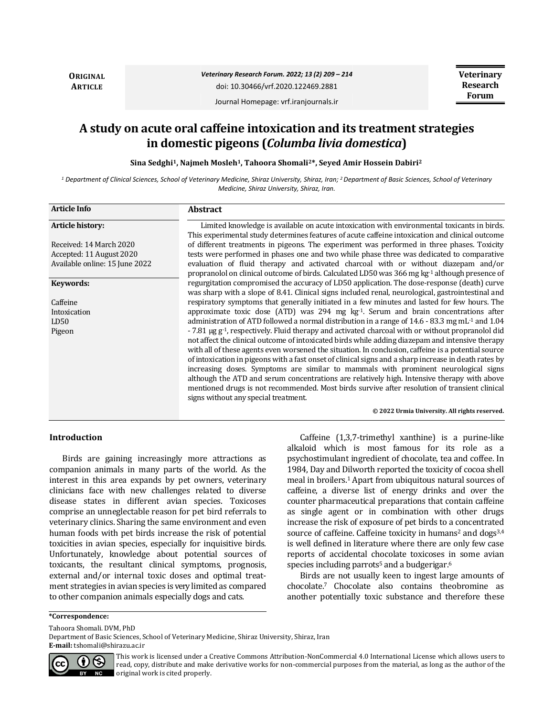**ORIGINAL ARTICLE**

*Veterinary Research Forum. 2022; 13 (2) 209 – 214* doi: 10.30466/vrf.2020.122469.2881

**Veterinary Research Forum**

Journal Homepage: vrf.iranjournals.ir

# **A study on acute oral caffeine intoxication and its treatment strategies in domestic pigeons (***Columba livia domestica***)**

**Sina Sedghi1, Najmeh Mosleh1, Tahoora Shomali2\*, Seyed Amir Hossein Dabiri<sup>2</sup>**

*<sup>1</sup> Department of Clinical Sciences, School of Veterinary Medicine, Shiraz University, Shiraz, Iran; <sup>2</sup>Department of Basic Sciences, School of Veterinary Medicine, Shiraz University, Shiraz, Iran.*

| <b>Article Info</b>            | <b>Abstract</b>                                                                                                                       |
|--------------------------------|---------------------------------------------------------------------------------------------------------------------------------------|
| <b>Article history:</b>        | Limited knowledge is available on acute intoxication with environmental toxicants in birds.                                           |
|                                | This experimental study determines features of acute caffeine intoxication and clinical outcome                                       |
| Received: 14 March 2020        | of different treatments in pigeons. The experiment was performed in three phases. Toxicity                                            |
| Accepted: 11 August 2020       | tests were performed in phases one and two while phase three was dedicated to comparative                                             |
| Available online: 15 June 2022 | evaluation of fluid therapy and activated charcoal with or without diazepam and/or                                                    |
|                                | propranolol on clinical outcome of birds. Calculated LD50 was 366 mg kg <sup>-1</sup> although presence of                            |
| <b>Keywords:</b>               | regurgitation compromised the accuracy of LD50 application. The dose-response (death) curve                                           |
|                                | was sharp with a slope of 8.41. Clinical signs included renal, neurological, gastrointestinal and                                     |
| Caffeine                       | respiratory symptoms that generally initiated in a few minutes and lasted for few hours. The                                          |
| Intoxication                   | approximate toxic dose (ATD) was $294$ mg kg <sup>-1</sup> . Serum and brain concentrations after                                     |
| LD50                           | administration of ATD followed a normal distribution in a range of $14.6 - 83.3$ mg mL $^{-1}$ and $1.04$                             |
| Pigeon                         | - 7.81 µg g <sup>-1</sup> , respectively. Fluid therapy and activated charcoal with or without propranolol did                        |
|                                | not affect the clinical outcome of intoxicated birds while adding diazepam and intensive therapy                                      |
|                                | with all of these agents even worsened the situation. In conclusion, caffeine is a potential source                                   |
|                                | of intoxication in pigeons with a fast onset of clinical signs and a sharp increase in death rates by                                 |
|                                | increasing doses. Symptoms are similar to mammals with prominent neurological signs                                                   |
|                                | although the ATD and serum concentrations are relatively high. Intensive therapy with above                                           |
|                                | mentioned drugs is not recommended. Most birds survive after resolution of transient clinical<br>signs without any special treatment. |
|                                | © 2022 Urmia University. All rights reserved.                                                                                         |

# **Introduction**

Birds are gaining increasingly more attractions as companion animals in many parts of the world. As the interest in this area expands by pet owners, veterinary clinicians face with new challenges related to diverse disease states in different avian species. Toxicoses comprise an unneglectable reason for pet bird referrals to veterinary clinics. Sharing the same environment and even human foods with pet birds increase the risk of potential toxicities in avian species, especially for inquisitive birds. Unfortunately, knowledge about potential sources of toxicants, the resultant clinical symptoms, prognosis, external and/or internal toxic doses and optimal treatment strategies in avian species is very limited as compared to other companion animals especially dogs and cats.

Caffeine (1,3,7-trimethyl xanthine) is a purine-like alkaloid which is most famous for its role as a psychostimulant ingredient of chocolate, tea and coffee. In 1984, Day and Dilworth reported the toxicity of cocoa shell meal in broilers.<sup>1</sup> Apart from ubiquitous natural sources of caffeine, a diverse list of energy drinks and over the counter pharmaceutical preparations that contain caffeine as single agent or in combination with other drugs increase the risk of exposure of pet birds to a concentrated source of caffeine. Caffeine toxicity in humans<sup>2</sup> and dogs<sup>3,4</sup> is well defined in literature where there are only few case reports of accidental chocolate toxicoses in some avian species including parrots<sup>5</sup> and a budgerigar. $6$ 

Birds are not usually keen to ingest large amounts of chocolate.<sup>7</sup> Chocolate also contains theobromine as another potentially toxic substance and therefore these

#### **\*Correspondence:**

Tahoora Shomali. DVM, PhD

Department of Basic Sciences, School of Veterinary Medicine, Shiraz University, Shiraz, Iran **E-mail:** tshomali@shirazu.ac.ir



This work is licensed under a [Creative Commons Attribution-NonCommercial 4.0 International License](http://creativecommons.org/licenses/by-nc/4.0/) which allows users to read, copy, distribute and make derivative works for non-commercial purposes from the material, as long as the author of the original work is cited properly.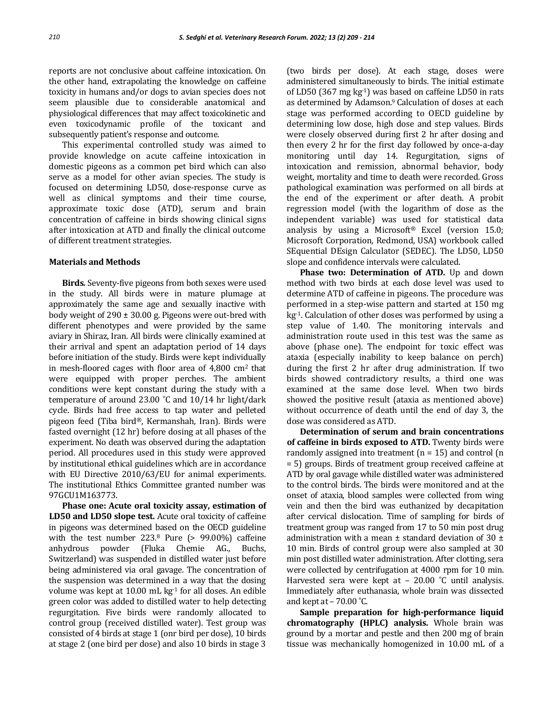reports are not conclusive about caffeine intoxication. On the other hand, extrapolating the knowledge on caffeine toxicity in humans and/or dogs to avian species does not seem plausible due to considerable anatomical and physiological differences that may affect toxicokinetic and even toxicodynamic profile of the toxicant and subsequently patient's response and outcome.

This experimental controlled study was aimed to provide knowledge on acute caffeine intoxication in domestic pigeons as a common pet bird which can also serve as a model for other avian species. The study is focused on determining LD50, dose-response curve as well as clinical symptoms and their time course, approximate toxic dose (ATD), serum and brain concentration of caffeine in birds showing clinical signs after intoxication at ATD and finally the clinical outcome of different treatment strategies.

#### **Materials and Methods**

**Birds***.* Seventy-five pigeons from both sexes were used in the study. All birds were in mature plumage at approximately the same age and sexually inactive with body weight of  $290 \pm 30.00$  g. Pigeons were out-bred with different phenotypes and were provided by the same aviary in Shiraz, Iran. All birds were clinically examined at their arrival and spent an adaptation period of 14 days before initiation of the study. Birds were kept individually in mesh-floored cages with floor area of  $4,800$  cm<sup>2</sup> that were equipped with proper perches. The ambient conditions were kept constant during the study with a temperature of around 23.00 ˚C and 10/14 hr light/dark cycle. Birds had free access to tap water and pelleted pigeon feed (Tiba bird®, Kermanshah, Iran). Birds were fasted overnight (12 hr) before dosing at all phases of the experiment. No death was observed during the adaptation period. All procedures used in this study were approved by institutional ethical guidelines which are in accordance with EU Directive 2010/63/EU for animal experiments. The institutional Ethics Committee granted number was 97GCU1M163773.

**Phase one: Acute oral toxicity assay, estimation of LD50 and LD50 slope test.** Acute oral toxicity of caffeine in pigeons was determined based on the OECD guideline with the test number 223.<sup>8</sup> Pure (> 99.00%) caffeine anhydrous powder (Fluka Chemie AG., Buchs, Switzerland) was suspended in distilled water just before being administered via oral gavage. The concentration of the suspension was determined in a way that the dosing volume was kept at 10.00 mL kg-1 for all doses. An edible green color was added to distilled water to help detecting regurgitation. Five birds were randomly allocated to control group (received distilled water). Test group was consisted of 4 birds at stage 1 (onr bird per dose), 10 birds at stage 2 (one bird per dose) and also 10 birds in stage 3

(two birds per dose). At each stage, doses were administered simultaneously to birds. The initial estimate of LD50 (367 mg kg-1) was based on caffeine LD50 in rats as determined by Adamson.9 Calculation of doses at each stage was performed according to OECD guideline by determining low dose, high dose and step values. Birds were closely observed during first 2 hr after dosing and then every 2 hr for the first day followed by once-a-day monitoring until day 14. Regurgitation, signs of intoxication and remission, abnormal behavior, body weight, mortality and time to death were recorded. Gross pathological examination was performed on all birds at the end of the experiment or after death. A probit regression model (with the logarithm of dose as the independent variable) was used for statistical data analysis by using a Microsoft® Excel (version 15.0; Microsoft Corporation, Redmond, USA) workbook called SEquential DEsign Calculator (SEDEC). The LD50, LD50 slope and confidence intervals were calculated.

**Phase two: Determination of ATD.** Up and down method with two birds at each dose level was used to determine ATD of caffeine in pigeons. The procedure was performed in a step-wise pattern and started at 150 mg kg-1. Calculation of other doses was performed by using a step value of 1.40. The monitoring intervals and administration route used in this test was the same as above (phase one). The endpoint for toxic effect was ataxia (especially inability to keep balance on perch) during the first 2 hr after drug administration. If two birds showed contradictory results, a third one was examined at the same dose level. When two birds showed the positive result (ataxia as mentioned above) without occurrence of death until the end of day 3, the dose was considered as ATD.

**Determination of serum and brain concentrations of caffeine in birds exposed to ATD.** Twenty birds were randomly assigned into treatment  $(n = 15)$  and control  $(n = 15)$ = 5) groups. Birds of treatment group received caffeine at ATD by oral gavage while distilled water was administered to the control birds. The birds were monitored and at the onset of ataxia, blood samples were collected from wing vein and then the bird was euthanized by decapitation after cervical dislocation. Time of sampling for birds of treatment group was ranged from 17 to 50 min post drug administration with a mean  $\pm$  standard deviation of 30  $\pm$ 10 min. Birds of control group were also sampled at 30 min post distilled water administration. After clotting, sera were collected by centrifugation at 4000 rpm for 10 min. Harvested sera were kept at - 20.00 °C until analysis. Immediately after euthanasia, whole brain was dissected and kept at  $-70.00$  °C.

**Sample preparation for high-performance liquid chromatography (HPLC) analysis.** Whole brain was ground by a mortar and pestle and then 200 mg of brain tissue was mechanically homogenized in 10.00 mL of a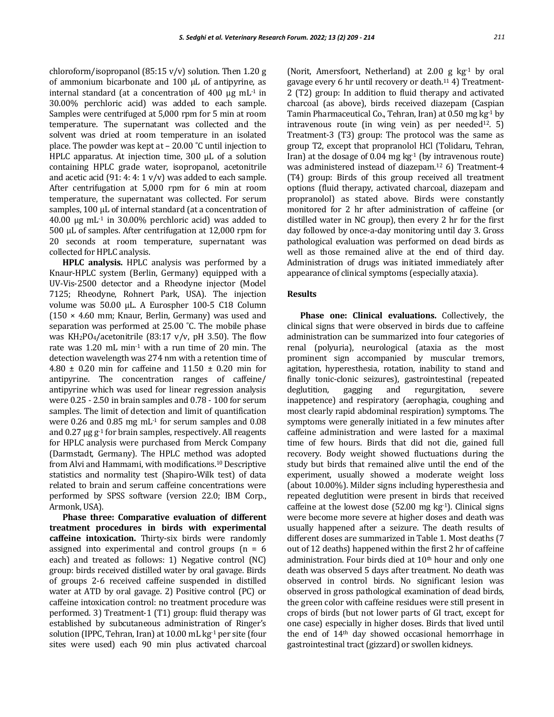chloroform/isopropanol (85:15 v/v) solution. Then 1.20 g of ammonium bicarbonate and 100 µL of antipyrine, as internal standard (at a concentration of  $400 \mu g$  mL<sup>-1</sup> in 30.00% perchloric acid) was added to each sample. Samples were centrifuged at 5,000 rpm for 5 min at room temperature. The supernatant was collected and the solvent was dried at room temperature in an isolated place. The powder was kept at – 20.00 ˚C until injection to HPLC apparatus. At injection time, 300 µL of a solution containing HPLC grade water, isopropanol, acetonitrile and acetic acid (91: 4: 4:  $1 v/v$ ) was added to each sample. After centrifugation at 5,000 rpm for 6 min at room temperature, the supernatant was collected. For serum samples, 100 µL of internal standard (at a concentration of 40.00  $\mu$ g mL<sup>-1</sup> in 30.00% perchloric acid) was added to 500 µL of samples. After centrifugation at 12,000 rpm for 20 seconds at room temperature, supernatant was collected for HPLC analysis.

**HPLC analysis.** HPLC analysis was performed by a Knaur-HPLC system (Berlin, Germany) equipped with a UV-Vis-2500 detector and a Rheodyne injector (Model 7125; Rheodyne, Rohnert Park, USA). The injection volume was 50.00 µL. A Eurospher 100-5 C18 Column  $(150 \times 4.60$  mm; Knaur, Berlin, Germany) was used and separation was performed at 25.00 ˚C. The mobile phase was  $KH_2PO_4/acetonitrile$  (83:17 v/v, pH 3.50). The flow rate was 1.20 mL min-1 with a run time of 20 min. The detection wavelength was 274 nm with a retention time of 4.80  $\pm$  0.20 min for caffeine and 11.50  $\pm$  0.20 min for antipyrine. The concentration ranges of caffeine/ antipyrine which was used for linear regression analysis were 0.25 - 2.50 in brain samples and 0.78 - 100 for serum samples. The limit of detection and limit of quantification were 0.26 and 0.85 mg mL-1 for serum samples and 0.08 and  $0.27 \mu$ g g<sup>-1</sup> for brain samples, respectively. All reagents for HPLC analysis were purchased from Merck Company (Darmstadt, Germany). The HPLC method was adopted from Alvi and Hammami, with modifications.10 Descriptive statistics and normality test (Shapiro-Wilk test) of data related to brain and serum caffeine concentrations were performed by SPSS software (version 22.0; IBM Corp., Armonk, USA).

**Phase three: Comparative evaluation of different treatment procedures in birds with experimental caffeine intoxication.** Thirty-six birds were randomly assigned into experimental and control groups  $(n = 6$ each) and treated as follows: 1) Negative control (NC) group: birds received distilled water by oral gavage. Birds of groups 2-6 received caffeine suspended in distilled water at ATD by oral gavage. 2) Positive control (PC) or caffeine intoxication control: no treatment procedure was performed. 3) Treatment-1 (T1) group: fluid therapy was established by subcutaneous administration of Ringer's solution (IPPC, Tehran, Iran) at 10.00 mL kg<sup>-1</sup> per site (four sites were used) each 90 min plus activated charcoal

(Norit, Amersfoort, Netherland) at 2.00 g  $kg<sup>-1</sup>$  by oral gavage every 6 hr until recovery or death.<sup>11</sup> 4) Treatment-2 (T2) group: In addition to fluid therapy and activated charcoal (as above), birds received diazepam (Caspian Tamin Pharmaceutical Co., Tehran, Iran) at 0.50 mg kg-1 by intravenous route (in wing vein) as per needed<sup>12</sup>. 5) Treatment-3 (T3) group: The protocol was the same as group T2, except that propranolol HCl (Tolidaru, Tehran, Iran) at the dosage of  $0.04 \text{ mg kg}^{-1}$  (by intravenous route) was administered instead of diazepam.<sup>12</sup> 6) Treatment-4 (T4) group: Birds of this group received all treatment options (fluid therapy, activated charcoal, diazepam and propranolol) as stated above. Birds were constantly monitored for 2 hr after administration of caffeine (or distilled water in NC group), then every 2 hr for the first day followed by once-a-day monitoring until day 3. Gross pathological evaluation was performed on dead birds as well as those remained alive at the end of third day. Administration of drugs was initiated immediately after appearance of clinical symptoms (especially ataxia).

## **Results**

**Phase one: Clinical evaluations.** Collectively, the clinical signs that were observed in birds due to caffeine administration can be summarized into four categories of renal (polyuria), neurological (ataxia as the most prominent sign accompanied by muscular tremors, agitation, hyperesthesia, rotation, inability to stand and finally tonic-clonic seizures), gastrointestinal (repeated deglutition, gagging and regurgitation, severe inappetence) and respiratory (aerophagia, coughing and most clearly rapid abdominal respiration) symptoms. The symptoms were generally initiated in a few minutes after caffeine administration and were lasted for a maximal time of few hours. Birds that did not die, gained full recovery. Body weight showed fluctuations during the study but birds that remained alive until the end of the experiment, usually showed a moderate weight loss (about 10.00%). Milder signs including hyperesthesia and repeated deglutition were present in birds that received caffeine at the lowest dose  $(52.00 \text{ mg kg}^{-1})$ . Clinical signs were become more severe at higher doses and death was usually happened after a seizure. The death results of different doses are summarized in Table 1. Most deaths (7 out of 12 deaths) happened within the first 2 hr of caffeine administration. Four birds died at  $10<sup>th</sup>$  hour and only one death was observed 5 days after treatment. No death was observed in control birds. No significant lesion was observed in gross pathological examination of dead birds, the green color with caffeine residues were still present in crops of birds (but not lower parts of GI tract, except for one case) especially in higher doses. Birds that lived until the end of 14th day showed occasional hemorrhage in gastrointestinal tract (gizzard) or swollen kidneys.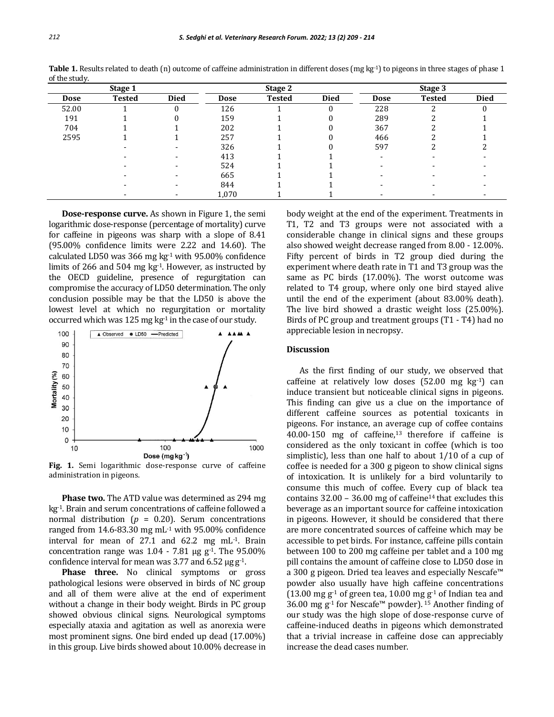| Stage 1 |               |             | Stage 2 |               |             | Stage 3                  |               |             |
|---------|---------------|-------------|---------|---------------|-------------|--------------------------|---------------|-------------|
| Dose    | <b>Tested</b> | <b>Died</b> | Dose    | <b>Tested</b> | <b>Died</b> | <b>Dose</b>              | <b>Tested</b> | <b>Died</b> |
| 52.00   |               |             | 126     |               | $\theta$    | 228                      | ົ             |             |
| 191     |               |             | 159     |               |             | 289                      |               |             |
| 704     |               |             | 202     |               |             | 367                      |               |             |
| 2595    |               |             | 257     |               |             | 466                      |               |             |
|         |               |             | 326     |               |             | 597                      |               |             |
|         |               |             | 413     |               |             | $\overline{\phantom{a}}$ |               |             |
|         |               |             | 524     |               |             |                          |               |             |
|         |               |             | 665     |               |             |                          |               |             |
|         |               |             | 844     |               |             |                          |               |             |
|         |               |             | 1,070   |               |             |                          |               |             |

**Table 1.** Results related to death (n) outcome of caffeine administration in different doses (mg kg<sup>-1</sup>) to pigeons in three stages of phase 1 of the study.

**Dose-response curve.** As shown in Figure 1, the semi logarithmic dose-response (percentage of mortality) curve for caffeine in pigeons was sharp with a slope of 8.41 (95.00% confidence limits were 2.22 and 14.60). The calculated LD50 was 366 mg kg-1 with 95.00% confidence limits of 266 and 504 mg kg-1. However, as instructed by the OECD guideline, presence of regurgitation can compromise the accuracy of LD50 determination. The only conclusion possible may be that the LD50 is above the lowest level at which no regurgitation or mortality occurred which was 125 mg  $kg<sup>1</sup>$  in the case of our study.



**Fig. 1.** Semi logarithmic dose-response curve of caffeine administration in pigeons.

**Phase two.** The ATD value was determined as 294 mg kg-1. Brain and serum concentrations of caffeine followed a normal distribution ( $p = 0.20$ ). Serum concentrations ranged from  $14.6 - 83.30$  mg mL<sup>-1</sup> with 95.00% confidence interval for mean of 27.1 and 62.2 mg mL-1. Brain concentration range was  $1.04 - 7.81$  µg g<sup>-1</sup>. The 95.00% confidence interval for mean was 3.77 and 6.52  $\mu$ g g<sup>-1</sup>.

**Phase three.** No clinical symptoms or gross pathological lesions were observed in birds of NC group and all of them were alive at the end of experiment without a change in their body weight. Birds in PC group showed obvious clinical signs. Neurological symptoms especially ataxia and agitation as well as anorexia were most prominent signs. One bird ended up dead (17.00%) in this group. Live birds showed about 10.00% decrease in body weight at the end of the experiment. Treatments in T1, T2 and T3 groups were not associated with a considerable change in clinical signs and these groups also showed weight decrease ranged from 8.00 - 12.00%. Fifty percent of birds in T2 group died during the experiment where death rate in T1 and T3 group was the same as PC birds (17.00%). The worst outcome was related to T4 group, where only one bird stayed alive until the end of the experiment (about 83.00% death). The live bird showed a drastic weight loss (25.00%). Birds of PC group and treatment groups (T1 - T4) had no appreciable lesion in necropsy.

#### **Discussion**

As the first finding of our study, we observed that caffeine at relatively low doses (52.00 mg kg-1) can induce transient but noticeable clinical signs in pigeons. This finding can give us a clue on the importance of different caffeine sources as potential toxicants in pigeons. For instance, an average cup of coffee contains 40.00-150 mg of caffeine,13 therefore if caffeine is considered as the only toxicant in coffee (which is too simplistic), less than one half to about 1/10 of a cup of coffee is needed for a 300 g pigeon to show clinical signs of intoxication. It is unlikely for a bird voluntarily to consume this much of coffee. Every cup of black tea contains  $32.00 - 36.00$  mg of caffeine<sup>14</sup> that excludes this beverage as an important source for caffeine intoxication in pigeons. However, it should be considered that there are more concentrated sources of caffeine which may be accessible to pet birds. For instance, caffeine pills contain between 100 to 200 mg caffeine per tablet and a 100 mg pill contains the amount of caffeine close to LD50 dose in a 300 g pigeon. Dried tea leaves and especially Nescafe™ powder also usually have high caffeine concentrations (13.00 mg  $g^{-1}$  of green tea, 10.00 mg  $g^{-1}$  of Indian tea and 36.00 mg g<sup>-1</sup> for Nescafe<sup>™</sup> powder). <sup>15</sup> Another finding of our study was the high slope of dose-response curve of caffeine-induced deaths in pigeons which demonstrated that a trivial increase in caffeine dose can appreciably increase the dead cases number.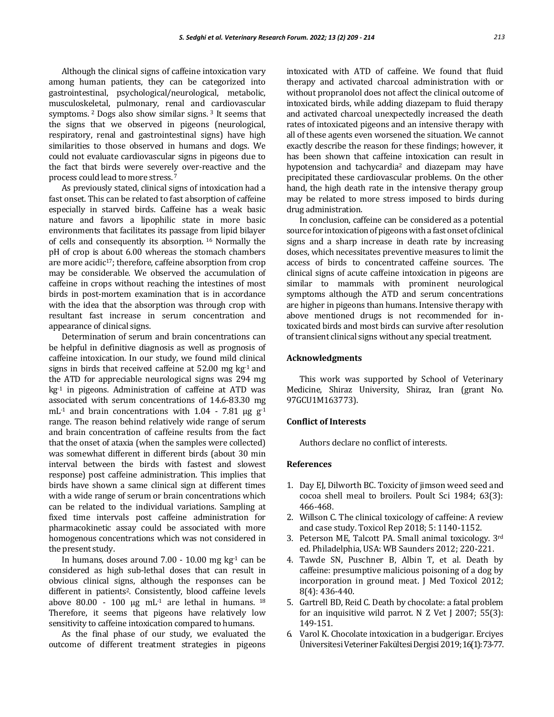Although the clinical signs of caffeine intoxication vary among human patients, they can be categorized into gastrointestinal, psychological/neurological, metabolic, musculoskeletal, pulmonary, renal and cardiovascular symptoms. <sup>2</sup> Dogs also show similar signs. <sup>3</sup> It seems that the signs that we observed in pigeons (neurological, respiratory, renal and gastrointestinal signs) have high similarities to those observed in humans and dogs. We could not evaluate cardiovascular signs in pigeons due to the fact that birds were severely over-reactive and the process could lead to more stress. <sup>7</sup>

As previously stated, clinical signs of intoxication had a fast onset. This can be related to fast absorption of caffeine especially in starved birds. Caffeine has a weak basic nature and favors a lipophilic state in more basic environments that facilitates its passage from lipid bilayer of cells and consequently its absorption. <sup>16</sup> Normally the pH of crop is about 6.00 whereas the stomach chambers are more acidic<sup>17</sup>; therefore, caffeine absorption from crop may be considerable. We observed the accumulation of caffeine in crops without reaching the intestines of most birds in post-mortem examination that is in accordance with the idea that the absorption was through crop with resultant fast increase in serum concentration and appearance of clinical signs.

Determination of serum and brain concentrations can be helpful in definitive diagnosis as well as prognosis of caffeine intoxication. In our study, we found mild clinical signs in birds that received caffeine at  $52.00$  mg kg<sup>-1</sup> and the ATD for appreciable neurological signs was 294 mg kg-1 in pigeons. Administration of caffeine at ATD was associated with serum concentrations of 14.6-83.30 mg mL<sup>-1</sup> and brain concentrations with 1.04 - 7.81  $\mu$ g g<sup>-1</sup> range. The reason behind relatively wide range of serum and brain concentration of caffeine results from the fact that the onset of ataxia (when the samples were collected) was somewhat different in different birds (about 30 min interval between the birds with fastest and slowest response) post caffeine administration. This implies that birds have shown a same clinical sign at different times with a wide range of serum or brain concentrations which can be related to the individual variations. Sampling at fixed time intervals post caffeine administration for pharmacokinetic assay could be associated with more homogenous concentrations which was not considered in the present study.

In humans, doses around  $7.00 - 10.00$  mg kg<sup>-1</sup> can be considered as high sub-lethal doses that can result in obvious clinical signs, although the responses can be different in patients2. Consistently, blood caffeine levels above 80.00 - 100  $\mu$ g mL<sup>-1</sup> are lethal in humans. <sup>18</sup> Therefore, it seems that pigeons have relatively low sensitivity to caffeine intoxication compared to humans.

As the final phase of our study, we evaluated the outcome of different treatment strategies in pigeons intoxicated with ATD of caffeine. We found that fluid therapy and activated charcoal administration with or without propranolol does not affect the clinical outcome of intoxicated birds, while adding diazepam to fluid therapy and activated charcoal unexpectedly increased the death rates of intoxicated pigeons and an intensive therapy with all of these agents even worsened the situation. We cannot exactly describe the reason for these findings; however, it has been shown that caffeine intoxication can result in hypotension and tachycardia<sup>2</sup> and diazepam may have precipitated these cardiovascular problems. On the other hand, the high death rate in the intensive therapy group may be related to more stress imposed to birds during drug administration.

In conclusion, caffeine can be considered as a potential source for intoxication of pigeons with a fast onset of clinical signs and a sharp increase in death rate by increasing doses, which necessitates preventive measures to limit the access of birds to concentrated caffeine sources. The clinical signs of acute caffeine intoxication in pigeons are similar to mammals with prominent neurological symptoms although the ATD and serum concentrations are higher in pigeons than humans. Intensive therapy with above mentioned drugs is not recommended for intoxicated birds and most birds can survive after resolution of transient clinical signs without any special treatment.

### **Acknowledgments**

This work was supported by School of Veterinary Medicine, Shiraz University, Shiraz, Iran (grant No. 97GCU1M163773).

## **Conflict of Interests**

Authors declare no conflict of interests.

#### **References**

- 1. Day EJ, Dilworth BC. Toxicity of jimson weed seed and cocoa shell meal to broilers. Poult Sci 1984; 63(3): 466-468.
- 2. Willson C. The clinical toxicology of caffeine: A review and case study. Toxicol Rep 2018; 5: 1140-1152.
- 3. Peterson ME, Talcott PA. Small animal toxicology. 3rd ed. Philadelphia, USA: WB Saunders 2012; 220-221.
- 4. Tawde SN, Puschner B, Albin T, et al. Death by caffeine: presumptive malicious poisoning of a dog by incorporation in ground meat. J Med Toxicol 2012; 8(4): 436-440.
- 5. Gartrell BD, Reid C. Death by chocolate: a fatal problem for an inquisitive wild parrot. N Z Vet J 2007; 55(3): 149-151.
- 6. Varol K. Chocolate intoxication in a budgerigar. Erciyes ÜniversitesiVeterinerFakültesiDergisi2019; 16(1): 73-77.